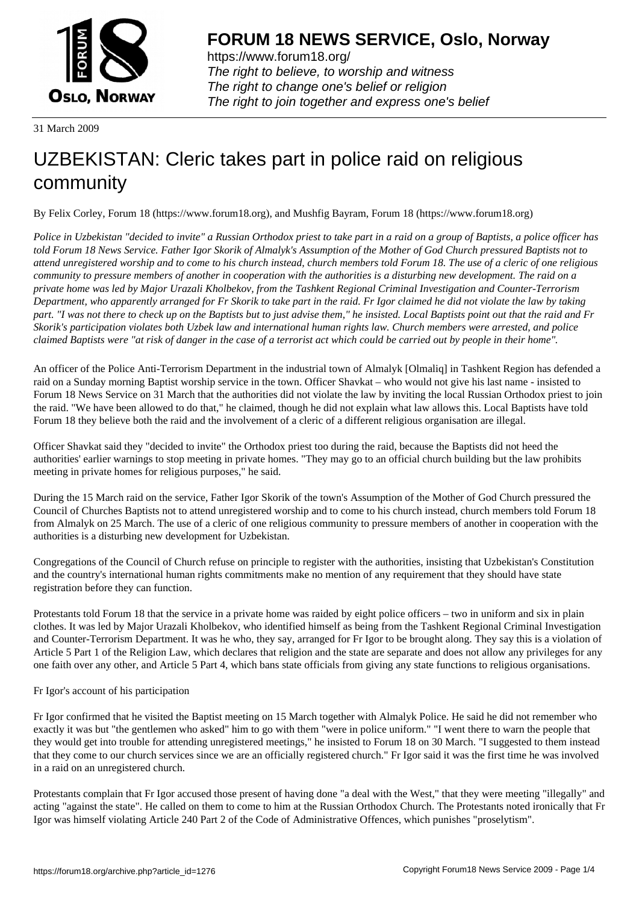

https://www.forum18.org/ The right to believe, to worship and witness The right to change one's belief or religion [The right to join together a](https://www.forum18.org/)nd express one's belief

31 March 2009

# [UZBEKISTAN:](https://www.forum18.org) Cleric takes part in police raid on religious community

By Felix Corley, Forum 18 (https://www.forum18.org), and Mushfig Bayram, Forum 18 (https://www.forum18.org)

*Police in Uzbekistan "decided to invite" a Russian Orthodox priest to take part in a raid on a group of Baptists, a police officer has told Forum 18 News Service. Father Igor Skorik of Almalyk's Assumption of the Mother of God Church pressured Baptists not to attend unregistered worship and to come to his church instead, church members told Forum 18. The use of a cleric of one religious community to pressure members of another in cooperation with the authorities is a disturbing new development. The raid on a private home was led by Major Urazali Kholbekov, from the Tashkent Regional Criminal Investigation and Counter-Terrorism Department, who apparently arranged for Fr Skorik to take part in the raid. Fr Igor claimed he did not violate the law by taking part. "I was not there to check up on the Baptists but to just advise them," he insisted. Local Baptists point out that the raid and Fr Skorik's participation violates both Uzbek law and international human rights law. Church members were arrested, and police claimed Baptists were "at risk of danger in the case of a terrorist act which could be carried out by people in their home".*

An officer of the Police Anti-Terrorism Department in the industrial town of Almalyk [Olmaliq] in Tashkent Region has defended a raid on a Sunday morning Baptist worship service in the town. Officer Shavkat – who would not give his last name - insisted to Forum 18 News Service on 31 March that the authorities did not violate the law by inviting the local Russian Orthodox priest to join the raid. "We have been allowed to do that," he claimed, though he did not explain what law allows this. Local Baptists have told Forum 18 they believe both the raid and the involvement of a cleric of a different religious organisation are illegal.

Officer Shavkat said they "decided to invite" the Orthodox priest too during the raid, because the Baptists did not heed the authorities' earlier warnings to stop meeting in private homes. "They may go to an official church building but the law prohibits meeting in private homes for religious purposes," he said.

During the 15 March raid on the service, Father Igor Skorik of the town's Assumption of the Mother of God Church pressured the Council of Churches Baptists not to attend unregistered worship and to come to his church instead, church members told Forum 18 from Almalyk on 25 March. The use of a cleric of one religious community to pressure members of another in cooperation with the authorities is a disturbing new development for Uzbekistan.

Congregations of the Council of Church refuse on principle to register with the authorities, insisting that Uzbekistan's Constitution and the country's international human rights commitments make no mention of any requirement that they should have state registration before they can function.

Protestants told Forum 18 that the service in a private home was raided by eight police officers – two in uniform and six in plain clothes. It was led by Major Urazali Kholbekov, who identified himself as being from the Tashkent Regional Criminal Investigation and Counter-Terrorism Department. It was he who, they say, arranged for Fr Igor to be brought along. They say this is a violation of Article 5 Part 1 of the Religion Law, which declares that religion and the state are separate and does not allow any privileges for any one faith over any other, and Article 5 Part 4, which bans state officials from giving any state functions to religious organisations.

## Fr Igor's account of his participation

Fr Igor confirmed that he visited the Baptist meeting on 15 March together with Almalyk Police. He said he did not remember who exactly it was but "the gentlemen who asked" him to go with them "were in police uniform." "I went there to warn the people that they would get into trouble for attending unregistered meetings," he insisted to Forum 18 on 30 March. "I suggested to them instead that they come to our church services since we are an officially registered church." Fr Igor said it was the first time he was involved in a raid on an unregistered church.

Protestants complain that Fr Igor accused those present of having done "a deal with the West," that they were meeting "illegally" and acting "against the state". He called on them to come to him at the Russian Orthodox Church. The Protestants noted ironically that Fr Igor was himself violating Article 240 Part 2 of the Code of Administrative Offences, which punishes "proselytism".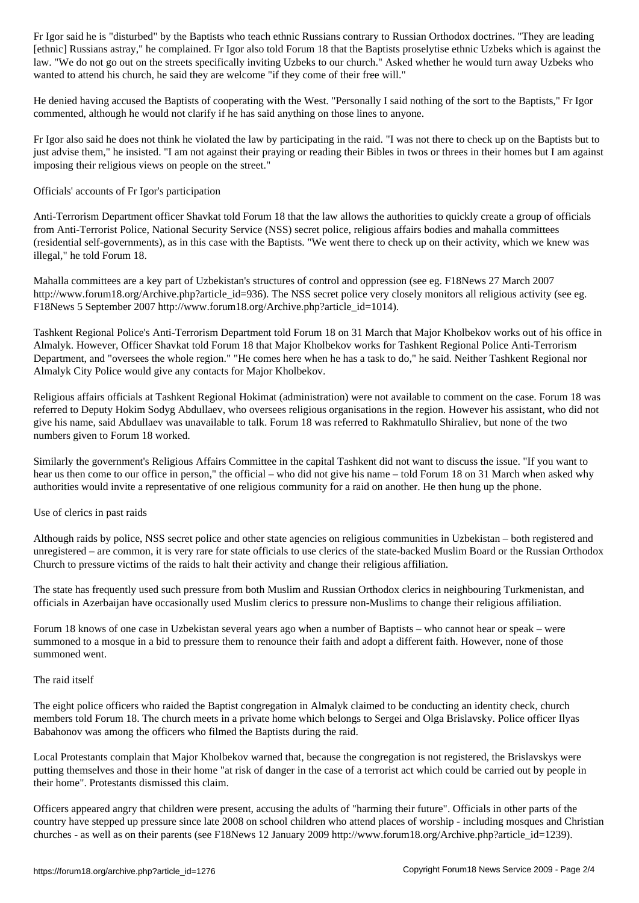[ethnic] Russians astray," he complained. Fr Igor also told Forum 18 that the Baptists proselytise ethnic Uzbeks which is against the law. "We do not go out on the streets specifically inviting Uzbeks to our church." Asked whether he would turn away Uzbeks who wanted to attend his church, he said they are welcome "if they come of their free will."

He denied having accused the Baptists of cooperating with the West. "Personally I said nothing of the sort to the Baptists," Fr Igor commented, although he would not clarify if he has said anything on those lines to anyone.

Fr Igor also said he does not think he violated the law by participating in the raid. "I was not there to check up on the Baptists but to just advise them," he insisted. "I am not against their praying or reading their Bibles in twos or threes in their homes but I am against imposing their religious views on people on the street."

Officials' accounts of Fr Igor's participation

Anti-Terrorism Department officer Shavkat told Forum 18 that the law allows the authorities to quickly create a group of officials from Anti-Terrorist Police, National Security Service (NSS) secret police, religious affairs bodies and mahalla committees (residential self-governments), as in this case with the Baptists. "We went there to check up on their activity, which we knew was illegal," he told Forum 18.

Mahalla committees are a key part of Uzbekistan's structures of control and oppression (see eg. F18News 27 March 2007 http://www.forum18.org/Archive.php?article\_id=936). The NSS secret police very closely monitors all religious activity (see eg. F18News 5 September 2007 http://www.forum18.org/Archive.php?article\_id=1014).

Tashkent Regional Police's Anti-Terrorism Department told Forum 18 on 31 March that Major Kholbekov works out of his office in Almalyk. However, Officer Shavkat told Forum 18 that Major Kholbekov works for Tashkent Regional Police Anti-Terrorism Department, and "oversees the whole region." "He comes here when he has a task to do," he said. Neither Tashkent Regional nor Almalyk City Police would give any contacts for Major Kholbekov.

Religious affairs officials at Tashkent Regional Hokimat (administration) were not available to comment on the case. Forum 18 was referred to Deputy Hokim Sodyg Abdullaev, who oversees religious organisations in the region. However his assistant, who did not give his name, said Abdullaev was unavailable to talk. Forum 18 was referred to Rakhmatullo Shiraliev, but none of the two numbers given to Forum 18 worked.

Similarly the government's Religious Affairs Committee in the capital Tashkent did not want to discuss the issue. "If you want to hear us then come to our office in person," the official – who did not give his name – told Forum 18 on 31 March when asked why authorities would invite a representative of one religious community for a raid on another. He then hung up the phone.

Use of clerics in past raids

Although raids by police, NSS secret police and other state agencies on religious communities in Uzbekistan – both registered and unregistered – are common, it is very rare for state officials to use clerics of the state-backed Muslim Board or the Russian Orthodox Church to pressure victims of the raids to halt their activity and change their religious affiliation.

The state has frequently used such pressure from both Muslim and Russian Orthodox clerics in neighbouring Turkmenistan, and officials in Azerbaijan have occasionally used Muslim clerics to pressure non-Muslims to change their religious affiliation.

Forum 18 knows of one case in Uzbekistan several years ago when a number of Baptists – who cannot hear or speak – were summoned to a mosque in a bid to pressure them to renounce their faith and adopt a different faith. However, none of those summoned went.

### The raid itself

The eight police officers who raided the Baptist congregation in Almalyk claimed to be conducting an identity check, church members told Forum 18. The church meets in a private home which belongs to Sergei and Olga Brislavsky. Police officer Ilyas Babahonov was among the officers who filmed the Baptists during the raid.

Local Protestants complain that Major Kholbekov warned that, because the congregation is not registered, the Brislavskys were putting themselves and those in their home "at risk of danger in the case of a terrorist act which could be carried out by people in their home". Protestants dismissed this claim.

Officers appeared angry that children were present, accusing the adults of "harming their future". Officials in other parts of the country have stepped up pressure since late 2008 on school children who attend places of worship - including mosques and Christian churches - as well as on their parents (see F18News 12 January 2009 http://www.forum18.org/Archive.php?article\_id=1239).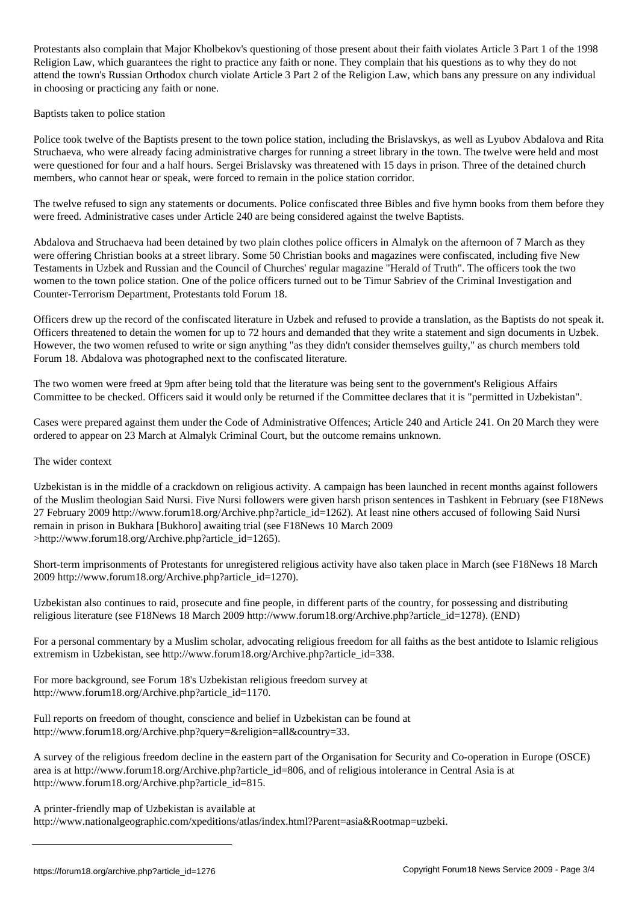Protestants also complain that Major Kholbekov's questioning of those present about their faith violates Article 3 Part 1 of the 1998 Religion Law, which guarantees the right to practice any faith or none. They complain that his questions as to why they do not attend the town's Russian Orthodox church violate Article 3 Part 2 of the Religion Law, which bans any pressure on any individual in choosing or practicing any faith or none.

### Baptists taken to police station

Police took twelve of the Baptists present to the town police station, including the Brislavskys, as well as Lyubov Abdalova and Rita Struchaeva, who were already facing administrative charges for running a street library in the town. The twelve were held and most were questioned for four and a half hours. Sergei Brislavsky was threatened with 15 days in prison. Three of the detained church members, who cannot hear or speak, were forced to remain in the police station corridor.

The twelve refused to sign any statements or documents. Police confiscated three Bibles and five hymn books from them before they were freed. Administrative cases under Article 240 are being considered against the twelve Baptists.

Abdalova and Struchaeva had been detained by two plain clothes police officers in Almalyk on the afternoon of 7 March as they were offering Christian books at a street library. Some 50 Christian books and magazines were confiscated, including five New Testaments in Uzbek and Russian and the Council of Churches' regular magazine "Herald of Truth". The officers took the two women to the town police station. One of the police officers turned out to be Timur Sabriev of the Criminal Investigation and Counter-Terrorism Department, Protestants told Forum 18.

Officers drew up the record of the confiscated literature in Uzbek and refused to provide a translation, as the Baptists do not speak it. Officers threatened to detain the women for up to 72 hours and demanded that they write a statement and sign documents in Uzbek. However, the two women refused to write or sign anything "as they didn't consider themselves guilty," as church members told Forum 18. Abdalova was photographed next to the confiscated literature.

The two women were freed at 9pm after being told that the literature was being sent to the government's Religious Affairs Committee to be checked. Officers said it would only be returned if the Committee declares that it is "permitted in Uzbekistan".

Cases were prepared against them under the Code of Administrative Offences; Article 240 and Article 241. On 20 March they were ordered to appear on 23 March at Almalyk Criminal Court, but the outcome remains unknown.

### The wider context

Uzbekistan is in the middle of a crackdown on religious activity. A campaign has been launched in recent months against followers of the Muslim theologian Said Nursi. Five Nursi followers were given harsh prison sentences in Tashkent in February (see F18News 27 February 2009 http://www.forum18.org/Archive.php?article\_id=1262). At least nine others accused of following Said Nursi remain in prison in Bukhara [Bukhoro] awaiting trial (see F18News 10 March 2009 >http://www.forum18.org/Archive.php?article\_id=1265).

Short-term imprisonments of Protestants for unregistered religious activity have also taken place in March (see F18News 18 March 2009 http://www.forum18.org/Archive.php?article\_id=1270).

Uzbekistan also continues to raid, prosecute and fine people, in different parts of the country, for possessing and distributing religious literature (see F18News 18 March 2009 http://www.forum18.org/Archive.php?article\_id=1278). (END)

For a personal commentary by a Muslim scholar, advocating religious freedom for all faiths as the best antidote to Islamic religious extremism in Uzbekistan, see http://www.forum18.org/Archive.php?article\_id=338.

For more background, see Forum 18's Uzbekistan religious freedom survey at http://www.forum18.org/Archive.php?article\_id=1170.

Full reports on freedom of thought, conscience and belief in Uzbekistan can be found at http://www.forum18.org/Archive.php?query=&religion=all&country=33.

A survey of the religious freedom decline in the eastern part of the Organisation for Security and Co-operation in Europe (OSCE) area is at http://www.forum18.org/Archive.php?article\_id=806, and of religious intolerance in Central Asia is at http://www.forum18.org/Archive.php?article\_id=815.

A printer-friendly map of Uzbekistan is available at

http://www.nationalgeographic.com/xpeditions/atlas/index.html?Parent=asia&Rootmap=uzbeki.